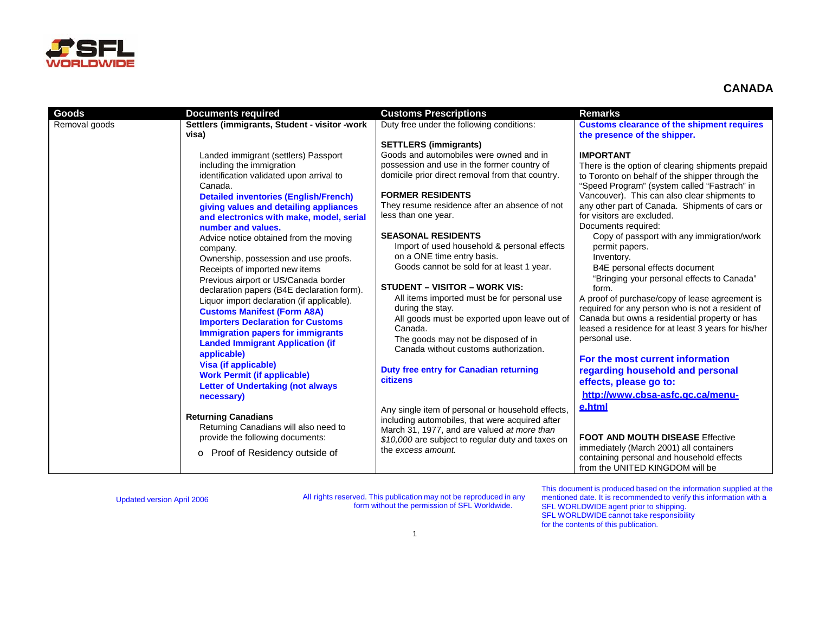

| Goods         | <b>Documents required</b>                                                                                                                                                                                                                                                                                                                                                                                                                                                       | <b>Customs Prescriptions</b>                                                                                                                                                                                                                                                                                                                                                                                                                                                      | <b>Remarks</b>                                                                                                                                                                                                                                                                                                                                                                                                                                                                                                                      |
|---------------|---------------------------------------------------------------------------------------------------------------------------------------------------------------------------------------------------------------------------------------------------------------------------------------------------------------------------------------------------------------------------------------------------------------------------------------------------------------------------------|-----------------------------------------------------------------------------------------------------------------------------------------------------------------------------------------------------------------------------------------------------------------------------------------------------------------------------------------------------------------------------------------------------------------------------------------------------------------------------------|-------------------------------------------------------------------------------------------------------------------------------------------------------------------------------------------------------------------------------------------------------------------------------------------------------------------------------------------------------------------------------------------------------------------------------------------------------------------------------------------------------------------------------------|
| Removal goods | Settlers (immigrants, Student - visitor -work<br>visa)<br>Landed immigrant (settlers) Passport<br>including the immigration<br>identification validated upon arrival to<br>Canada.<br><b>Detailed inventories (English/French)</b><br>giving values and detailing appliances<br>and electronics with make, model, serial<br>number and values.<br>Advice notice obtained from the moving<br>company.<br>Ownership, possession and use proofs.<br>Receipts of imported new items | Duty free under the following conditions:<br><b>SETTLERS (immigrants)</b><br>Goods and automobiles were owned and in<br>possession and use in the former country of<br>domicile prior direct removal from that country.<br><b>FORMER RESIDENTS</b><br>They resume residence after an absence of not<br>less than one year.<br><b>SEASONAL RESIDENTS</b><br>Import of used household & personal effects<br>on a ONE time entry basis.<br>Goods cannot be sold for at least 1 year. | <b>Customs clearance of the shipment requires</b><br>the presence of the shipper.<br><b>IMPORTANT</b><br>There is the option of clearing shipments prepaid<br>to Toronto on behalf of the shipper through the<br>"Speed Program" (system called "Fastrach" in<br>Vancouver). This can also clear shipments to<br>any other part of Canada. Shipments of cars or<br>for visitors are excluded.<br>Documents required:<br>Copy of passport with any immigration/work<br>permit papers.<br>Inventory.<br>B4E personal effects document |
|               | Previous airport or US/Canada border<br>declaration papers (B4E declaration form).<br>Liquor import declaration (if applicable).<br><b>Customs Manifest (Form A8A)</b><br><b>Importers Declaration for Customs</b><br><b>Immigration papers for immigrants</b><br><b>Landed Immigrant Application (if</b><br>applicable)<br>Visa (if applicable)<br><b>Work Permit (if applicable)</b>                                                                                          | <b>STUDENT - VISITOR - WORK VIS:</b><br>All items imported must be for personal use<br>during the stay.<br>All goods must be exported upon leave out of<br>Canada.<br>The goods may not be disposed of in<br>Canada without customs authorization.<br>Duty free entry for Canadian returning<br>citizens                                                                                                                                                                          | "Bringing your personal effects to Canada"<br>form.<br>A proof of purchase/copy of lease agreement is<br>required for any person who is not a resident of<br>Canada but owns a residential property or has<br>leased a residence for at least 3 years for his/her<br>personal use.<br>For the most current information<br>regarding household and personal<br>effects, please go to:                                                                                                                                                |
|               | <b>Letter of Undertaking (not always</b><br>necessary)<br><b>Returning Canadians</b><br>Returning Canadians will also need to<br>provide the following documents:<br>Proof of Residency outside of<br>$\circ$                                                                                                                                                                                                                                                                   | Any single item of personal or household effects,<br>including automobiles, that were acquired after<br>March 31, 1977, and are valued at more than<br>\$10,000 are subject to regular duty and taxes on<br>the excess amount.                                                                                                                                                                                                                                                    | http://www.cbsa-asfc.gc.ca/menu-<br>e.html<br><b>FOOT AND MOUTH DISEASE Effective</b><br>immediately (March 2001) all containers<br>containing personal and household effects<br>from the UNITED KINGDOM will be                                                                                                                                                                                                                                                                                                                    |

Updated version April 2006 All rights reserved. This publication may not be reproduced in any form without the permission of SFL Worldwide.

This document is produced based on the information supplied at the mentioned date. It is recommended to verify this information with a SFL WORLDWIDE agent prior to shipping. SFL WORLDWIDE cannot take responsibility for the contents of this publication.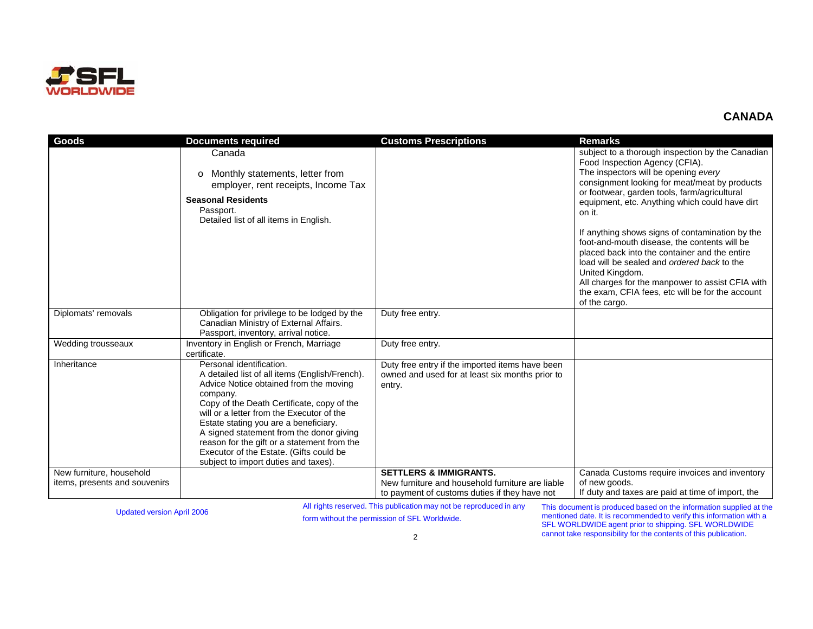

| Goods                                                     | <b>Documents required</b>                                                                                                                                                                                                                                                                                                                                                                                                                         | <b>Customs Prescriptions</b>                                                                                                           | <b>Remarks</b>                                                                                                                                                                                                                                                                                                                                                                                                                                                                                                                                                                                                                         |
|-----------------------------------------------------------|---------------------------------------------------------------------------------------------------------------------------------------------------------------------------------------------------------------------------------------------------------------------------------------------------------------------------------------------------------------------------------------------------------------------------------------------------|----------------------------------------------------------------------------------------------------------------------------------------|----------------------------------------------------------------------------------------------------------------------------------------------------------------------------------------------------------------------------------------------------------------------------------------------------------------------------------------------------------------------------------------------------------------------------------------------------------------------------------------------------------------------------------------------------------------------------------------------------------------------------------------|
|                                                           | Canada<br>Monthly statements, letter from<br>$\circ$<br>employer, rent receipts, Income Tax<br><b>Seasonal Residents</b><br>Passport.<br>Detailed list of all items in English.                                                                                                                                                                                                                                                                   |                                                                                                                                        | subject to a thorough inspection by the Canadian<br>Food Inspection Agency (CFIA).<br>The inspectors will be opening every<br>consignment looking for meat/meat by products<br>or footwear, garden tools, farm/agricultural<br>equipment, etc. Anything which could have dirt<br>on it.<br>If anything shows signs of contamination by the<br>foot-and-mouth disease, the contents will be<br>placed back into the container and the entire<br>load will be sealed and ordered back to the<br>United Kingdom.<br>All charges for the manpower to assist CFIA with<br>the exam, CFIA fees, etc will be for the account<br>of the cargo. |
| Diplomats' removals                                       | Obligation for privilege to be lodged by the                                                                                                                                                                                                                                                                                                                                                                                                      | Duty free entry.                                                                                                                       |                                                                                                                                                                                                                                                                                                                                                                                                                                                                                                                                                                                                                                        |
|                                                           | Canadian Ministry of External Affairs.<br>Passport, inventory, arrival notice.                                                                                                                                                                                                                                                                                                                                                                    |                                                                                                                                        |                                                                                                                                                                                                                                                                                                                                                                                                                                                                                                                                                                                                                                        |
| Wedding trousseaux                                        | Inventory in English or French, Marriage<br>certificate.                                                                                                                                                                                                                                                                                                                                                                                          | Duty free entry.                                                                                                                       |                                                                                                                                                                                                                                                                                                                                                                                                                                                                                                                                                                                                                                        |
| Inheritance                                               | Personal identification.<br>A detailed list of all items (English/French).<br>Advice Notice obtained from the moving<br>company.<br>Copy of the Death Certificate, copy of the<br>will or a letter from the Executor of the<br>Estate stating you are a beneficiary.<br>A signed statement from the donor giving<br>reason for the gift or a statement from the<br>Executor of the Estate. (Gifts could be<br>subject to import duties and taxes) | Duty free entry if the imported items have been<br>owned and used for at least six months prior to<br>entry.                           |                                                                                                                                                                                                                                                                                                                                                                                                                                                                                                                                                                                                                                        |
| New furniture, household<br>items, presents and souvenirs |                                                                                                                                                                                                                                                                                                                                                                                                                                                   | <b>SETTLERS &amp; IMMIGRANTS.</b><br>New furniture and household furniture are liable<br>to payment of customs duties if they have not | Canada Customs require invoices and inventory<br>of new goods.<br>If duty and taxes are paid at time of import, the                                                                                                                                                                                                                                                                                                                                                                                                                                                                                                                    |

Updated version April 2006 All rights reserved. This publication may not be reproduced in any Updated version April 2006 FL Worldwide.

This document is produced based on the information supplied at the mentioned date. It is recommended to verify this information with a SFL WORLDWIDE agent prior to shipping. SFL WORLDWIDE cannot take responsibility for the contents of this publication.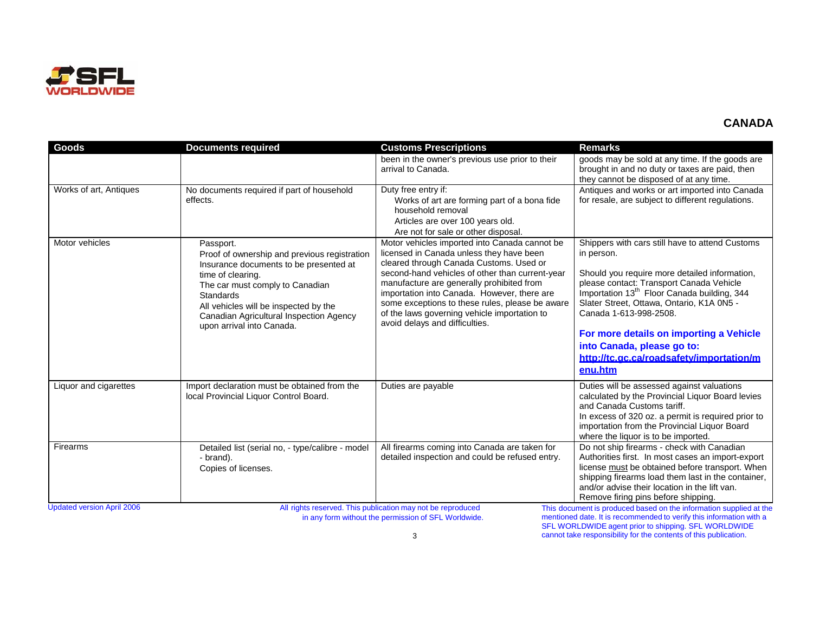

| <b>Goods</b>                                                                                                                                                                                                                                                                                                                                                                                                                         | <b>Documents required</b>                                                                                                                                                                                                                                                                 | <b>Customs Prescriptions</b>                                                                                                                                                                                                                                                                                                                                                                                             | <b>Remarks</b>                                                                                                                                                                                                                                                                                                                                                                                                               |  |
|--------------------------------------------------------------------------------------------------------------------------------------------------------------------------------------------------------------------------------------------------------------------------------------------------------------------------------------------------------------------------------------------------------------------------------------|-------------------------------------------------------------------------------------------------------------------------------------------------------------------------------------------------------------------------------------------------------------------------------------------|--------------------------------------------------------------------------------------------------------------------------------------------------------------------------------------------------------------------------------------------------------------------------------------------------------------------------------------------------------------------------------------------------------------------------|------------------------------------------------------------------------------------------------------------------------------------------------------------------------------------------------------------------------------------------------------------------------------------------------------------------------------------------------------------------------------------------------------------------------------|--|
|                                                                                                                                                                                                                                                                                                                                                                                                                                      |                                                                                                                                                                                                                                                                                           | been in the owner's previous use prior to their<br>arrival to Canada.                                                                                                                                                                                                                                                                                                                                                    | goods may be sold at any time. If the goods are<br>brought in and no duty or taxes are paid, then<br>they cannot be disposed of at any time.                                                                                                                                                                                                                                                                                 |  |
| Works of art, Antiques                                                                                                                                                                                                                                                                                                                                                                                                               | No documents required if part of household<br>effects.                                                                                                                                                                                                                                    | Duty free entry if:<br>Works of art are forming part of a bona fide<br>household removal<br>Articles are over 100 years old.<br>Are not for sale or other disposal.                                                                                                                                                                                                                                                      | Antiques and works or art imported into Canada<br>for resale, are subject to different regulations.                                                                                                                                                                                                                                                                                                                          |  |
| Motor vehicles                                                                                                                                                                                                                                                                                                                                                                                                                       | Passport.<br>Proof of ownership and previous registration<br>Insurance documents to be presented at<br>time of clearing.<br>The car must comply to Canadian<br>Standards<br>All vehicles will be inspected by the<br>Canadian Agricultural Inspection Agency<br>upon arrival into Canada. | Motor vehicles imported into Canada cannot be<br>licensed in Canada unless they have been<br>cleared through Canada Customs. Used or<br>second-hand vehicles of other than current-year<br>manufacture are generally prohibited from<br>importation into Canada. However, there are<br>some exceptions to these rules, please be aware<br>of the laws governing vehicle importation to<br>avoid delays and difficulties. | Shippers with cars still have to attend Customs<br>in person.<br>Should you require more detailed information,<br>please contact: Transport Canada Vehicle<br>Importation 13 <sup>th</sup> Floor Canada building, 344<br>Slater Street, Ottawa, Ontario, K1A 0N5 -<br>Canada 1-613-998-2508.<br>For more details on importing a Vehicle<br>into Canada, please go to:<br>http://tc.gc.ca/roadsafety/importation/m<br>enu.htm |  |
| Liquor and cigarettes                                                                                                                                                                                                                                                                                                                                                                                                                | Import declaration must be obtained from the<br>local Provincial Liquor Control Board.                                                                                                                                                                                                    | Duties are payable                                                                                                                                                                                                                                                                                                                                                                                                       | Duties will be assessed against valuations<br>calculated by the Provincial Liquor Board levies<br>and Canada Customs tariff.<br>In excess of 320 oz. a permit is required prior to<br>importation from the Provincial Liquor Board<br>where the liquor is to be imported.                                                                                                                                                    |  |
| Firearms                                                                                                                                                                                                                                                                                                                                                                                                                             | Detailed list (serial no, - type/calibre - model<br>- brand).<br>Copies of licenses.                                                                                                                                                                                                      | All firearms coming into Canada are taken for<br>detailed inspection and could be refused entry.                                                                                                                                                                                                                                                                                                                         | Do not ship firearms - check with Canadian<br>Authorities first. In most cases an import-export<br>license must be obtained before transport. When<br>shipping firearms load them last in the container,<br>and/or advise their location in the lift van.<br>Remove firing pins before shipping.                                                                                                                             |  |
| <b>Updated version April 2006</b><br>All rights reserved. This publication may not be reproduced<br>This document is produced based on the information supplied at the<br>$\mathcal{L}$ and $\mathcal{L}$ are contributing the state of $\mathcal{L}$ and $\mathcal{L}$ and $\mathcal{L}$ and $\mathcal{L}$ and $\mathcal{L}$ and $\mathcal{L}$<br>وسيكمش والملقاء وكاسماء المقالم والمستوصو ومستوصف المارا والمقتولة المتوسع القيما |                                                                                                                                                                                                                                                                                           |                                                                                                                                                                                                                                                                                                                                                                                                                          |                                                                                                                                                                                                                                                                                                                                                                                                                              |  |

in any form without the permission of SFL Worldwide.

mentioned date. It is recommended to verify this information with a SFL WORLDWIDE agent prior to shipping. SFL WORLDWIDE cannot take responsibility for the contents of this publication.